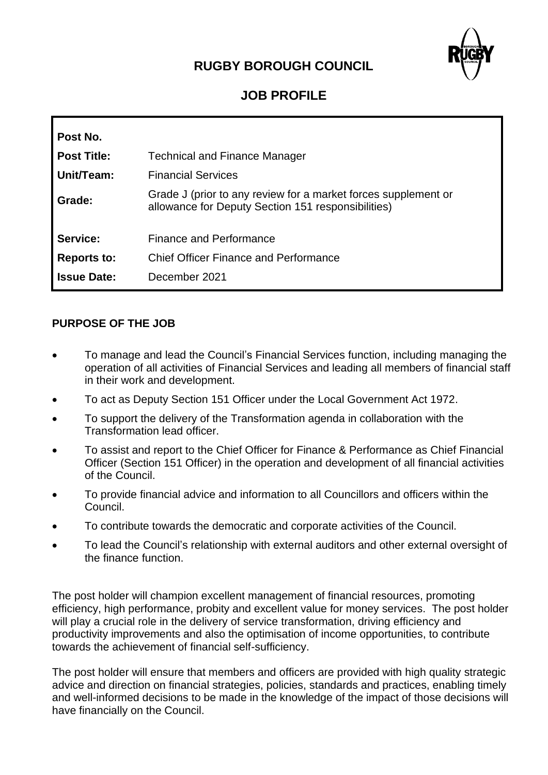# **RUGBY BOROUGH COUNCIL**



# **JOB PROFILE**

| Post No.           |                                                                                                                      |
|--------------------|----------------------------------------------------------------------------------------------------------------------|
| <b>Post Title:</b> | <b>Technical and Finance Manager</b>                                                                                 |
| Unit/Team:         | <b>Financial Services</b>                                                                                            |
| Grade:             | Grade J (prior to any review for a market forces supplement or<br>allowance for Deputy Section 151 responsibilities) |
| Service:           | <b>Finance and Performance</b>                                                                                       |
| <b>Reports to:</b> | <b>Chief Officer Finance and Performance</b>                                                                         |
| <b>Issue Date:</b> | December 2021                                                                                                        |

#### **PURPOSE OF THE JOB**

- To manage and lead the Council's Financial Services function, including managing the operation of all activities of Financial Services and leading all members of financial staff in their work and development.
- To act as Deputy Section 151 Officer under the Local Government Act 1972.
- To support the delivery of the Transformation agenda in collaboration with the Transformation lead officer.
- To assist and report to the Chief Officer for Finance & Performance as Chief Financial Officer (Section 151 Officer) in the operation and development of all financial activities of the Council.
- To provide financial advice and information to all Councillors and officers within the Council.
- To contribute towards the democratic and corporate activities of the Council.
- To lead the Council's relationship with external auditors and other external oversight of the finance function.

The post holder will champion excellent management of financial resources, promoting efficiency, high performance, probity and excellent value for money services. The post holder will play a crucial role in the delivery of service transformation, driving efficiency and productivity improvements and also the optimisation of income opportunities, to contribute towards the achievement of financial self-sufficiency.

The post holder will ensure that members and officers are provided with high quality strategic advice and direction on financial strategies, policies, standards and practices, enabling timely and well-informed decisions to be made in the knowledge of the impact of those decisions will have financially on the Council.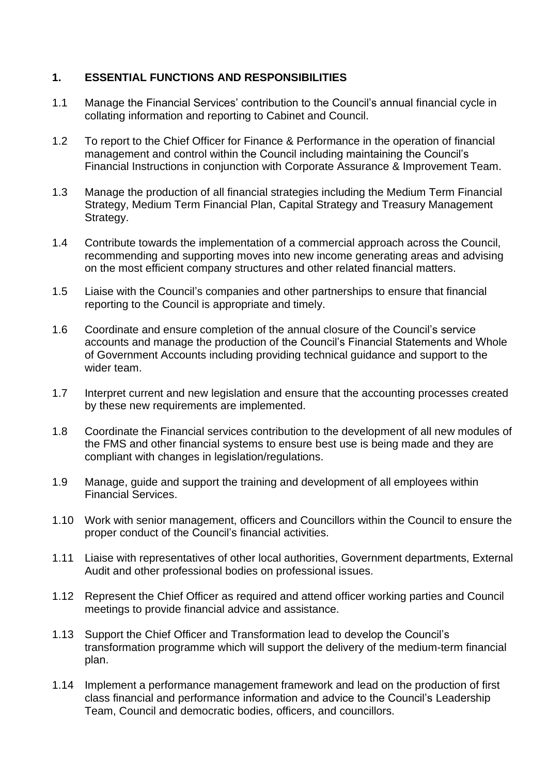### **1. ESSENTIAL FUNCTIONS AND RESPONSIBILITIES**

- 1.1 Manage the Financial Services' contribution to the Council's annual financial cycle in collating information and reporting to Cabinet and Council.
- 1.2 To report to the Chief Officer for Finance & Performance in the operation of financial management and control within the Council including maintaining the Council's Financial Instructions in conjunction with Corporate Assurance & Improvement Team.
- 1.3 Manage the production of all financial strategies including the Medium Term Financial Strategy, Medium Term Financial Plan, Capital Strategy and Treasury Management Strategy.
- 1.4 Contribute towards the implementation of a commercial approach across the Council, recommending and supporting moves into new income generating areas and advising on the most efficient company structures and other related financial matters.
- 1.5 Liaise with the Council's companies and other partnerships to ensure that financial reporting to the Council is appropriate and timely.
- 1.6 Coordinate and ensure completion of the annual closure of the Council's service accounts and manage the production of the Council's Financial Statements and Whole of Government Accounts including providing technical guidance and support to the wider team.
- 1.7 Interpret current and new legislation and ensure that the accounting processes created by these new requirements are implemented.
- 1.8 Coordinate the Financial services contribution to the development of all new modules of the FMS and other financial systems to ensure best use is being made and they are compliant with changes in legislation/regulations.
- 1.9 Manage, guide and support the training and development of all employees within Financial Services.
- 1.10 Work with senior management, officers and Councillors within the Council to ensure the proper conduct of the Council's financial activities.
- 1.11 Liaise with representatives of other local authorities, Government departments, External Audit and other professional bodies on professional issues.
- 1.12 Represent the Chief Officer as required and attend officer working parties and Council meetings to provide financial advice and assistance.
- 1.13 Support the Chief Officer and Transformation lead to develop the Council's transformation programme which will support the delivery of the medium-term financial plan.
- 1.14 Implement a performance management framework and lead on the production of first class financial and performance information and advice to the Council's Leadership Team, Council and democratic bodies, officers, and councillors.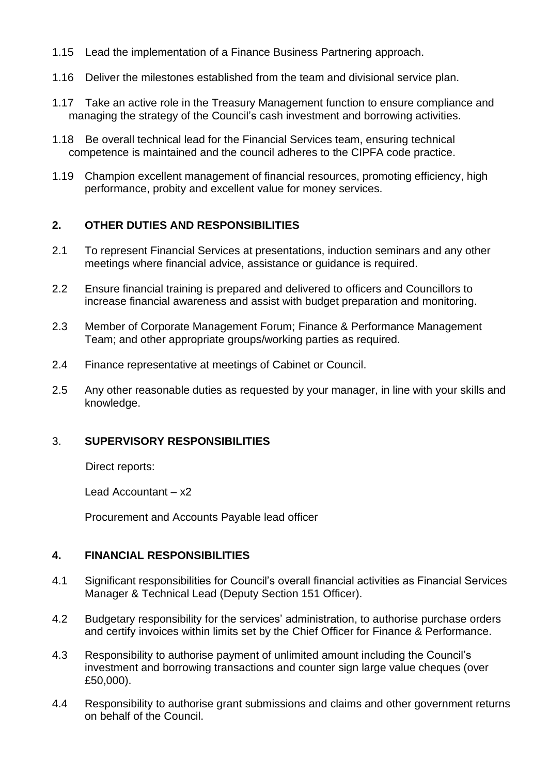- 1.15 Lead the implementation of a Finance Business Partnering approach.
- 1.16 Deliver the milestones established from the team and divisional service plan.
- 1.17 Take an active role in the Treasury Management function to ensure compliance and managing the strategy of the Council's cash investment and borrowing activities.
- 1.18 Be overall technical lead for the Financial Services team, ensuring technical competence is maintained and the council adheres to the CIPFA code practice.
- 1.19 Champion excellent management of financial resources, promoting efficiency, high performance, probity and excellent value for money services.

### **2. OTHER DUTIES AND RESPONSIBILITIES**

- 2.1 To represent Financial Services at presentations, induction seminars and any other meetings where financial advice, assistance or guidance is required.
- 2.2 Ensure financial training is prepared and delivered to officers and Councillors to increase financial awareness and assist with budget preparation and monitoring.
- 2.3 Member of Corporate Management Forum; Finance & Performance Management Team; and other appropriate groups/working parties as required.
- 2.4 Finance representative at meetings of Cabinet or Council.
- 2.5 Any other reasonable duties as requested by your manager, in line with your skills and knowledge.

### 3. **SUPERVISORY RESPONSIBILITIES**

Direct reports:

Lead Accountant – x2

Procurement and Accounts Payable lead officer

#### **4. FINANCIAL RESPONSIBILITIES**

- 4.1 Significant responsibilities for Council's overall financial activities as Financial Services Manager & Technical Lead (Deputy Section 151 Officer).
- 4.2 Budgetary responsibility for the services' administration, to authorise purchase orders and certify invoices within limits set by the Chief Officer for Finance & Performance.
- 4.3 Responsibility to authorise payment of unlimited amount including the Council's investment and borrowing transactions and counter sign large value cheques (over £50,000).
- 4.4 Responsibility to authorise grant submissions and claims and other government returns on behalf of the Council.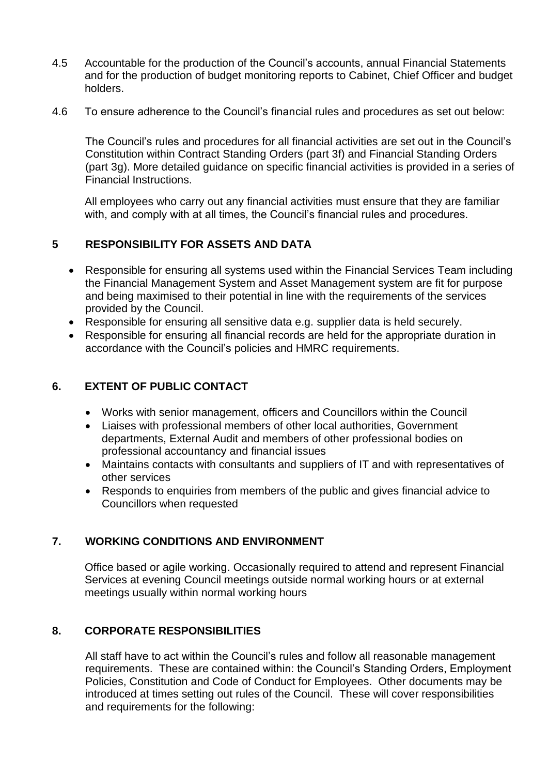- 4.5 Accountable for the production of the Council's accounts, annual Financial Statements and for the production of budget monitoring reports to Cabinet, Chief Officer and budget holders.
- 4.6 To ensure adherence to the Council's financial rules and procedures as set out below:

The Council's rules and procedures for all financial activities are set out in the Council's Constitution within Contract Standing Orders (part 3f) and Financial Standing Orders (part 3g). More detailed guidance on specific financial activities is provided in a series of Financial Instructions.

All employees who carry out any financial activities must ensure that they are familiar with, and comply with at all times, the Council's financial rules and procedures.

### **5 RESPONSIBILITY FOR ASSETS AND DATA**

- Responsible for ensuring all systems used within the Financial Services Team including the Financial Management System and Asset Management system are fit for purpose and being maximised to their potential in line with the requirements of the services provided by the Council.
- Responsible for ensuring all sensitive data e.g. supplier data is held securely.
- Responsible for ensuring all financial records are held for the appropriate duration in accordance with the Council's policies and HMRC requirements.

## **6. EXTENT OF PUBLIC CONTACT**

- Works with senior management, officers and Councillors within the Council
- Liaises with professional members of other local authorities, Government departments, External Audit and members of other professional bodies on professional accountancy and financial issues
- Maintains contacts with consultants and suppliers of IT and with representatives of other services
- Responds to enquiries from members of the public and gives financial advice to Councillors when requested

### **7. WORKING CONDITIONS AND ENVIRONMENT**

Office based or agile working. Occasionally required to attend and represent Financial Services at evening Council meetings outside normal working hours or at external meetings usually within normal working hours

### **8. CORPORATE RESPONSIBILITIES**

All staff have to act within the Council's rules and follow all reasonable management requirements. These are contained within: the Council's Standing Orders, Employment Policies, Constitution and Code of Conduct for Employees. Other documents may be introduced at times setting out rules of the Council. These will cover responsibilities and requirements for the following: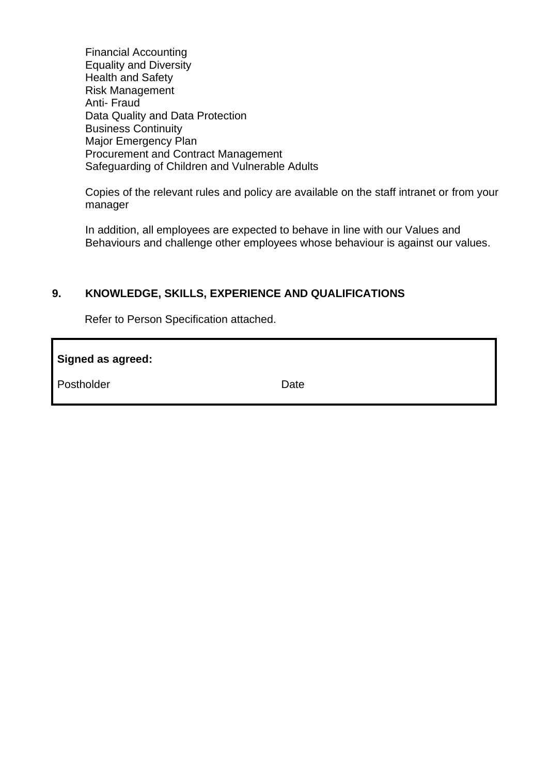Financial Accounting Equality and Diversity Health and Safety Risk Management Anti- Fraud Data Quality and Data Protection Business Continuity Major Emergency Plan Procurement and Contract Management Safeguarding of Children and Vulnerable Adults

Copies of the relevant rules and policy are available on the staff intranet or from your manager

In addition, all employees are expected to behave in line with our Values and Behaviours and challenge other employees whose behaviour is against our values.

#### **9. KNOWLEDGE, SKILLS, EXPERIENCE AND QUALIFICATIONS**

Refer to Person Specification attached.

| Signed as agreed: |      |
|-------------------|------|
| Postholder        | Date |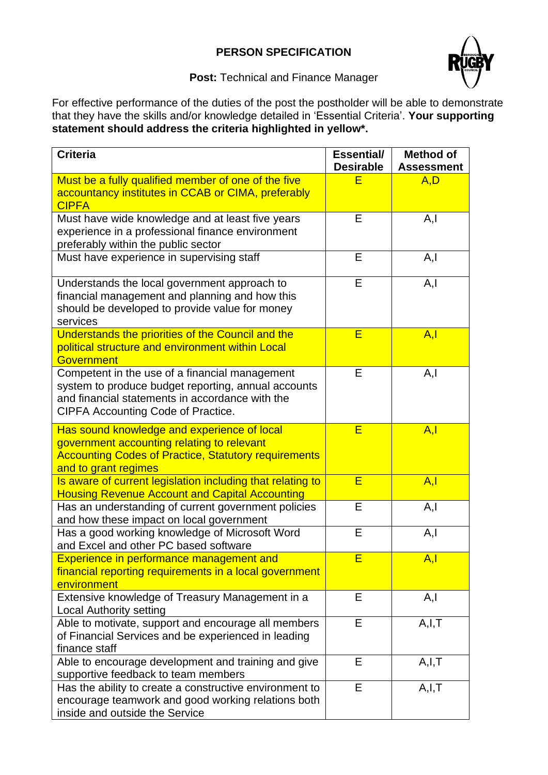# **PERSON SPECIFICATION**



**Post:** Technical and Finance Manager

For effective performance of the duties of the post the postholder will be able to demonstrate that they have the skills and/or knowledge detailed in 'Essential Criteria'. **Your supporting statement should address the criteria highlighted in yellow\*.**

| <b>Criteria</b>                                                                                                                                                                                | <b>Essential/</b><br><b>Desirable</b> | <b>Method of</b><br><b>Assessment</b> |
|------------------------------------------------------------------------------------------------------------------------------------------------------------------------------------------------|---------------------------------------|---------------------------------------|
| Must be a fully qualified member of one of the five<br>accountancy institutes in CCAB or CIMA, preferably<br><b>CIPFA</b>                                                                      | Ē                                     | A, D                                  |
| Must have wide knowledge and at least five years<br>experience in a professional finance environment<br>preferably within the public sector                                                    | E                                     | A, I                                  |
| Must have experience in supervising staff                                                                                                                                                      | E                                     | A, I                                  |
| Understands the local government approach to<br>financial management and planning and how this<br>should be developed to provide value for money<br>services                                   | E                                     | A, I                                  |
| Understands the priorities of the Council and the<br>political structure and environment within Local<br><b>Government</b>                                                                     | E                                     | A, I                                  |
| Competent in the use of a financial management<br>system to produce budget reporting, annual accounts<br>and financial statements in accordance with the<br>CIPFA Accounting Code of Practice. | E                                     | A, I                                  |
| Has sound knowledge and experience of local<br>government accounting relating to relevant<br><b>Accounting Codes of Practice, Statutory requirements</b><br>and to grant regimes               | E                                     | A, I                                  |
| Is aware of current legislation including that relating to<br><b>Housing Revenue Account and Capital Accounting</b>                                                                            | Ē                                     | A, I                                  |
| Has an understanding of current government policies<br>and how these impact on local government                                                                                                | E                                     | A, I                                  |
| Has a good working knowledge of Microsoft Word<br>and Excel and other PC based software                                                                                                        | E                                     | A, I                                  |
| Experience in performance management and<br>financial reporting requirements in a local government<br>environment                                                                              | E                                     | A, I                                  |
| Extensive knowledge of Treasury Management in a<br><b>Local Authority setting</b>                                                                                                              | E                                     | A, I                                  |
| Able to motivate, support and encourage all members<br>of Financial Services and be experienced in leading<br>finance staff                                                                    | E                                     | A, I, T                               |
| Able to encourage development and training and give<br>supportive feedback to team members                                                                                                     | E                                     | A, I, T                               |
| Has the ability to create a constructive environment to<br>encourage teamwork and good working relations both<br>inside and outside the Service                                                | Е                                     | A, I, T                               |